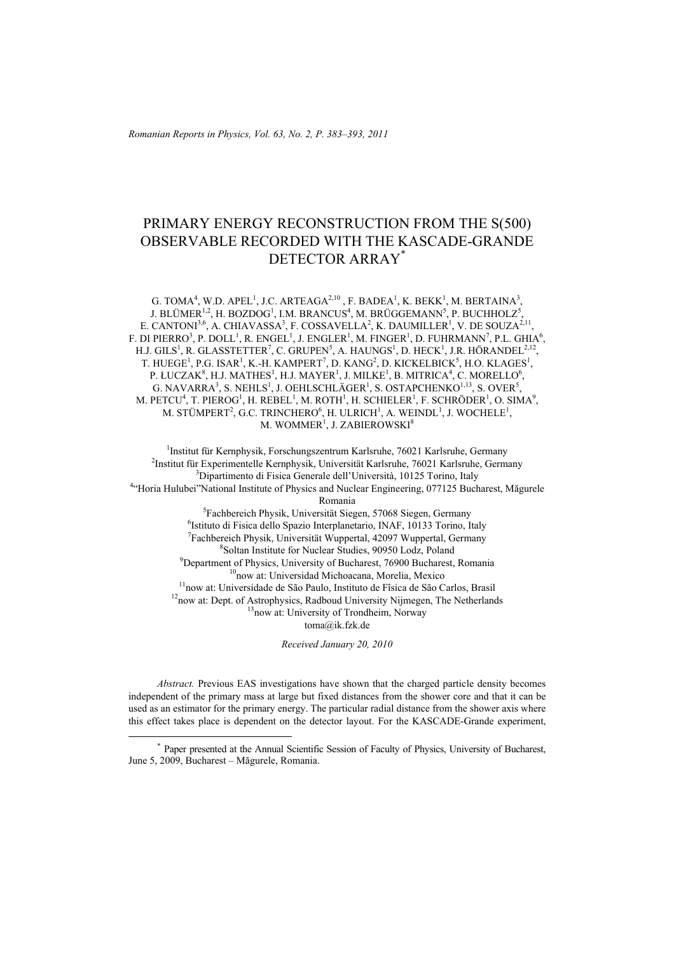*Romanian Reports in Physics, Vol. 63, No. 2, P. 383–393, 2011*

# PRIMARY ENERGY RECONSTRUCTION FROM THE S(500) OBSERVABLE RECORDED WITH THE KASCADE-GRANDE DETECTOR ARRAY\*

G. TOMA<sup>4</sup>, W.D. APEL<sup>1</sup>, J.C. ARTEAGA<sup>2,10</sup>, F. BADEA<sup>1</sup>, K. BEKK<sup>1</sup>, M. BERTAINA<sup>3</sup>, J. BLÜMER $^{1,2}$ , H. BOZDOG $^{1}$ , I.M. BRANCUS $^{4}$ , M. BRÜGGEMANN $^{5}$ , P. BUCHHOLZ $^{5}$ , E. CANTONI<sup>3,6</sup>, A. CHIAVASSA<sup>3</sup>, F. COSSAVELLA<sup>2</sup>, K. DAUMILLER<sup>1</sup>, V. DE SOUZA<sup>2,11</sup>, F. DI PIERRO<sup>3</sup>, P. DOLL<sup>1</sup>, R. ENGEL<sup>1</sup>, J. ENGLER<sup>1</sup>, M. FINGER<sup>1</sup>, D. FUHRMANN<sup>7</sup>, P.L. GHIA<sup>6</sup>, H.J. GILS<sup>1</sup>, R. GLASSTETTER<sup>7</sup>, C. GRUPEN<sup>5</sup>, A. HAUNGS<sup>1</sup>, D. HECK<sup>1</sup>, J.R. HÖRANDEL<sup>2,12</sup>, T. HUEGE<sup>1</sup>, P.G. ISAR<sup>1</sup>, K.-H. KAMPERT<sup>7</sup>, D. KANG<sup>2</sup>, D. KICKELBICK<sup>5</sup>, H.O. KLAGES<sup>1</sup>, P. ŁUCZA $K^8$ , H.J. MATHES<sup>1</sup>, H.J. MAYER<sup>1</sup>, J. MILKE<sup>1</sup>, B. MITRICA<sup>4</sup>, C. MORELLO<sup>6</sup>, G. NAVARRA<sup>3</sup>, S. NEHLS<sup>1</sup>, J. OEHLSCHLÄGER<sup>1</sup>, S. OSTAPCHENKO<sup>1,13</sup>, S. OVER<sup>5</sup>, M. PETCU<sup>4</sup>, T. PIEROG<sup>1</sup>, H. REBEL<sup>1</sup>, M. ROTH<sup>1</sup>, H. SCHIELER<sup>1</sup>, F. SCHRÖDER<sup>1</sup>, O. SIMA<sup>9</sup>, M. STÜMPERT<sup>2</sup>, G.C. TRINCHERO<sup>6</sup>, H. ULRICH<sup>1</sup>, A. WEINDL<sup>1</sup>, J. WOCHELE<sup>1</sup>, M. WOMMER $^{\rm l}$ , J. ZABIEROWSKI $^{\rm 8}$ 

<sup>1</sup>Institut für Kernphysik, Forschungszentrum Karlsruhe, 76021 Karlsruhe, Germany<br><sup>2</sup>Institut für Experimentalla Kernphysik, Universität Kerlsruhe, 76021 Kerlsruhe, Germa <sup>2</sup>Institut für Experimentelle Kernphysik, Universität Karlsruhe, 76021 Karlsruhe, Germany <sup>3</sup>Dipartimento di Fisica Generale dell'Università, 10125 Torino, Italy <sup>4</sup>"Horia Hulubei"National Institute of Physics and Nuclear Engineering, 077125 Bucharest, Măgurele Romania<br><sup>5</sup>Eechbereich Physik Universität Sieg  ${}^{5}$ Fachbereich Physik, Universität Siegen, 57068 Siegen, Germany 6<br> ${}^{6}$ Istitute di Fisice della Spezia Internanateria INAF 10133 Terino It <sup>6</sup>Istituto di Fisica dello Spazio Interplanetario, INAF, 10133 Torino, Italy <sup>7</sup>Fachbereich Physik, Universität Wuppertal, 42097 Wuppertal, Germany <sup>8</sup> Soltan Institute for Nuclear Studies, 90950 Lodz, Poland <sup>9</sup> Department of Physics, University of Bucharest, 76900 Bucharest, Romania <sup>10</sup>now at: Universidad Michoacana, Morelia, Mexico<br><sup>11</sup>now at: Universidade de São Paulo, Instituto de Fîsica de São Carlos, Brasil<br><sup>12</sup>now at: Dept. of Astrophysics, Radboud University Nijmegen, The Netherlands<br><sup>13</sup>now toma@ik.fzk.de

*Received January 20, 2010* 

*Abstract.* Previous EAS investigations have shown that the charged particle density becomes independent of the primary mass at large but fixed distances from the shower core and that it can be used as an estimator for the primary energy. The particular radial distance from the shower axis where this effect takes place is dependent on the detector layout. For the KASCADE-Grande experiment,

 <sup>\*</sup> Paper presented at the Annual Scientific Session of Faculty of Physics, University of Bucharest, June 5, 2009, Bucharest – Măgurele, Romania.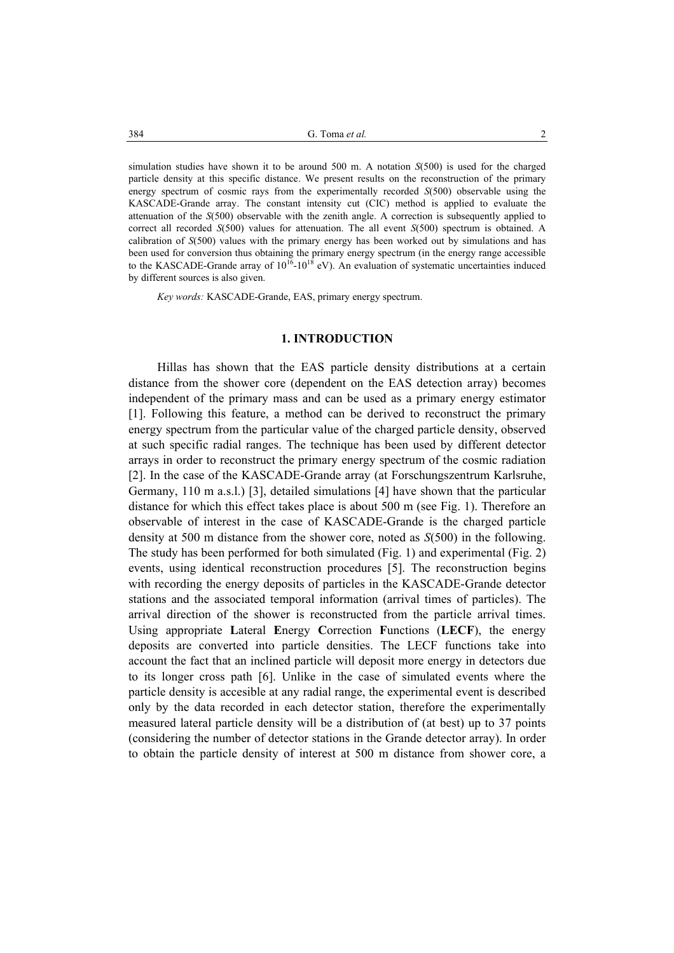simulation studies have shown it to be around 500 m. A notation *S*(500) is used for the charged particle density at this specific distance. We present results on the reconstruction of the primary energy spectrum of cosmic rays from the experimentally recorded *S*(500) observable using the KASCADE-Grande array. The constant intensity cut (CIC) method is applied to evaluate the attenuation of the *S*(500) observable with the zenith angle. A correction is subsequently applied to correct all recorded *S*(500) values for attenuation. The all event *S*(500) spectrum is obtained. A calibration of *S*(500) values with the primary energy has been worked out by simulations and has been used for conversion thus obtaining the primary energy spectrum (in the energy range accessible to the KASCADE-Grande array of  $10^{16}$ - $10^{18}$  eV). An evaluation of systematic uncertainties induced by different sources is also given.

*Key words:* KASCADE-Grande, EAS, primary energy spectrum.

#### **1. INTRODUCTION**

 Hillas has shown that the EAS particle density distributions at a certain distance from the shower core (dependent on the EAS detection array) becomes independent of the primary mass and can be used as a primary energy estimator [1]. Following this feature, a method can be derived to reconstruct the primary energy spectrum from the particular value of the charged particle density, observed at such specific radial ranges. The technique has been used by different detector arrays in order to reconstruct the primary energy spectrum of the cosmic radiation [2]. In the case of the KASCADE-Grande array (at Forschungszentrum Karlsruhe, Germany, 110 m a.s.l.) [3], detailed simulations [4] have shown that the particular distance for which this effect takes place is about 500 m (see Fig. 1). Therefore an observable of interest in the case of KASCADE-Grande is the charged particle density at 500 m distance from the shower core, noted as *S*(500) in the following. The study has been performed for both simulated (Fig. 1) and experimental (Fig. 2) events, using identical reconstruction procedures [5]. The reconstruction begins with recording the energy deposits of particles in the KASCADE-Grande detector stations and the associated temporal information (arrival times of particles). The arrival direction of the shower is reconstructed from the particle arrival times. Using appropriate **L**ateral **E**nergy **C**orrection **F**unctions (**LECF**), the energy deposits are converted into particle densities. The LECF functions take into account the fact that an inclined particle will deposit more energy in detectors due to its longer cross path [6]. Unlike in the case of simulated events where the particle density is accesible at any radial range, the experimental event is described only by the data recorded in each detector station, therefore the experimentally measured lateral particle density will be a distribution of (at best) up to 37 points (considering the number of detector stations in the Grande detector array). In order to obtain the particle density of interest at 500 m distance from shower core, a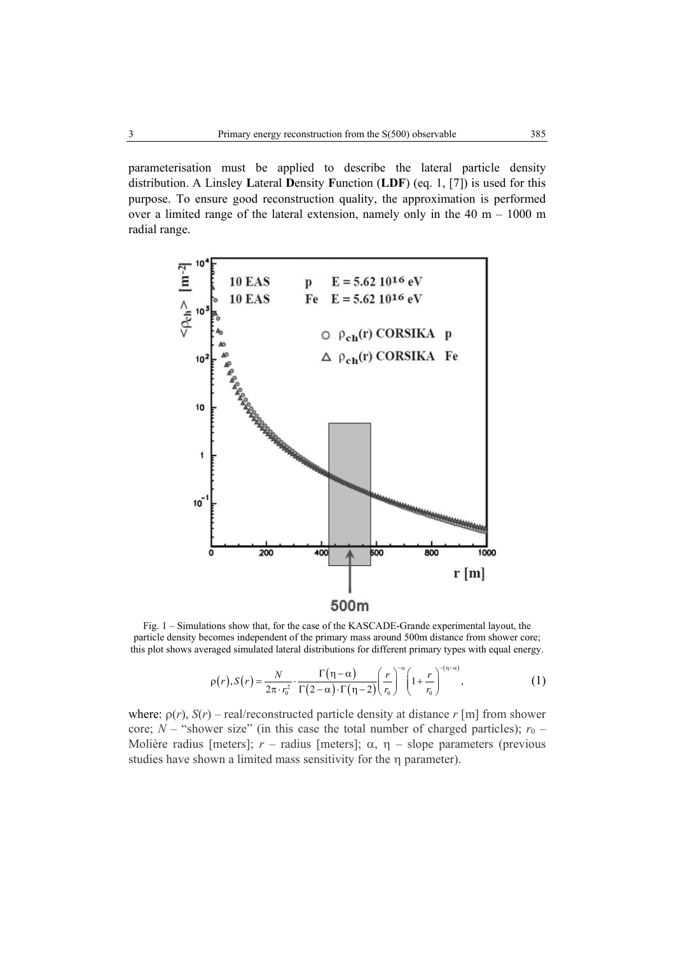parameterisation must be applied to describe the lateral particle density distribution. A Linsley **L**ateral **D**ensity **F**unction (**LDF**) (eq. 1, [7]) is used for this purpose. To ensure good reconstruction quality, the approximation is performed over a limited range of the lateral extension, namely only in the  $40 \text{ m} - 1000 \text{ m}$ radial range.



Fig. 1 – Simulations show that, for the case of the KASCADE-Grande experimental layout, the particle density becomes independent of the primary mass around 500m distance from shower core; this plot shows averaged simulated lateral distributions for different primary types with equal energy.

$$
\rho(r), S(r) = \frac{N}{2\pi \cdot r_0^2} \cdot \frac{\Gamma(\eta - \alpha)}{\Gamma(2 - \alpha) \cdot \Gamma(\eta - 2)} \left(\frac{r}{r_0}\right)^{-\alpha} \left(1 + \frac{r}{r_0}\right)^{-(\eta - \alpha)},
$$
\n(1)

where:  $\rho(r)$ ,  $S(r)$  – real/reconstructed particle density at distance  $r$  [m] from shower core; *N* – "shower size" (in this case the total number of charged particles);  $r_0$  – Molière radius [meters]; *r* – radius [meters]; α, η – slope parameters (previous studies have shown a limited mass sensitivity for the η parameter).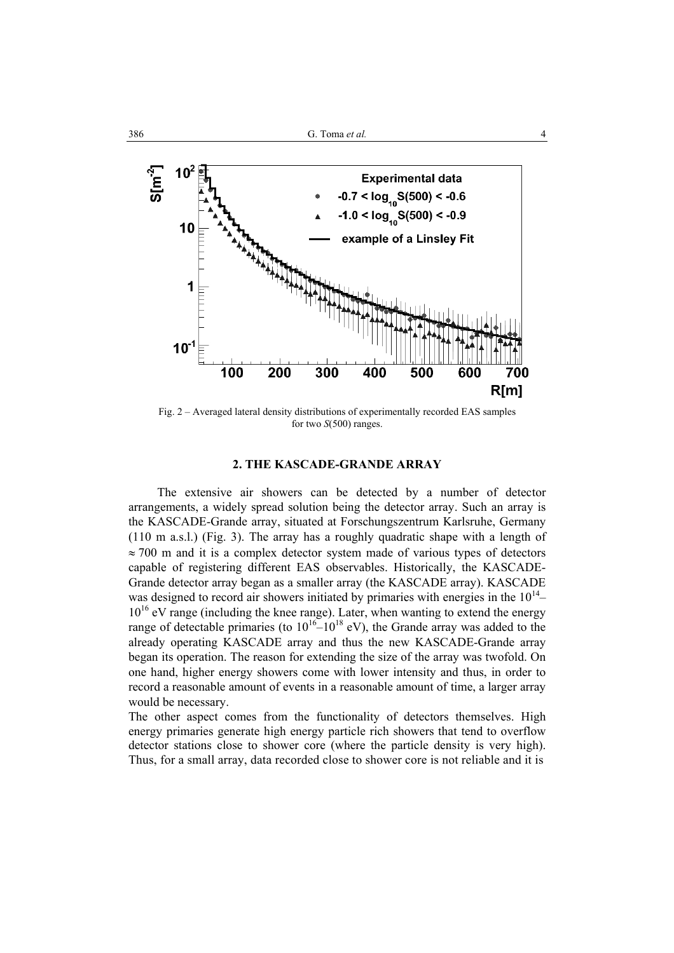

Fig. 2 – Averaged lateral density distributions of experimentally recorded EAS samples for two *S*(500) ranges.

## **2. THE KASCADE-GRANDE ARRAY**

 The extensive air showers can be detected by a number of detector arrangements, a widely spread solution being the detector array. Such an array is the KASCADE-Grande array, situated at Forschungszentrum Karlsruhe, Germany (110 m a.s.l.) (Fig. 3). The array has a roughly quadratic shape with a length of  $\approx$  700 m and it is a complex detector system made of various types of detectors capable of registering different EAS observables. Historically, the KASCADE-Grande detector array began as a smaller array (the KASCADE array). KASCADE was designed to record air showers initiated by primaries with energies in the  $10^{14}$ –  $10^{16}$  eV range (including the knee range). Later, when wanting to extend the energy range of detectable primaries (to  $10^{16}-10^{18}$  eV), the Grande array was added to the already operating KASCADE array and thus the new KASCADE-Grande array began its operation. The reason for extending the size of the array was twofold. On one hand, higher energy showers come with lower intensity and thus, in order to record a reasonable amount of events in a reasonable amount of time, a larger array would be necessary.

The other aspect comes from the functionality of detectors themselves. High energy primaries generate high energy particle rich showers that tend to overflow detector stations close to shower core (where the particle density is very high). Thus, for a small array, data recorded close to shower core is not reliable and it is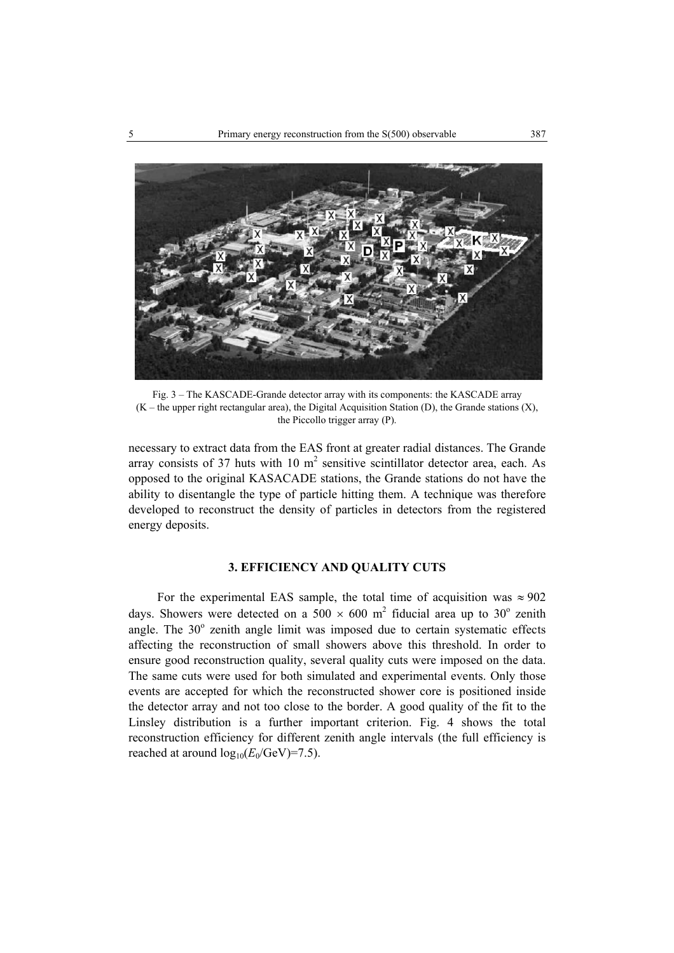

Fig. 3 – The KASCADE-Grande detector array with its components: the KASCADE array  $(K -$  the upper right rectangular area), the Digital Acquisition Station (D), the Grande stations  $(X)$ , the Piccollo trigger array (P).

necessary to extract data from the EAS front at greater radial distances. The Grande array consists of 37 huts with 10  $m<sup>2</sup>$  sensitive scintillator detector area, each. As opposed to the original KASACADE stations, the Grande stations do not have the ability to disentangle the type of particle hitting them. A technique was therefore developed to reconstruct the density of particles in detectors from the registered energy deposits.

## **3. EFFICIENCY AND QUALITY CUTS**

For the experimental EAS sample, the total time of acquisition was  $\approx 902$ days. Showers were detected on a 500  $\times$  600 m<sup>2</sup> fiducial area up to 30<sup>°</sup> zenith angle. The  $30^\circ$  zenith angle limit was imposed due to certain systematic effects affecting the reconstruction of small showers above this threshold. In order to ensure good reconstruction quality, several quality cuts were imposed on the data. The same cuts were used for both simulated and experimental events. Only those events are accepted for which the reconstructed shower core is positioned inside the detector array and not too close to the border. A good quality of the fit to the Linsley distribution is a further important criterion. Fig. 4 shows the total reconstruction efficiency for different zenith angle intervals (the full efficiency is reached at around  $log_{10}(E_0/\text{GeV})$ =7.5).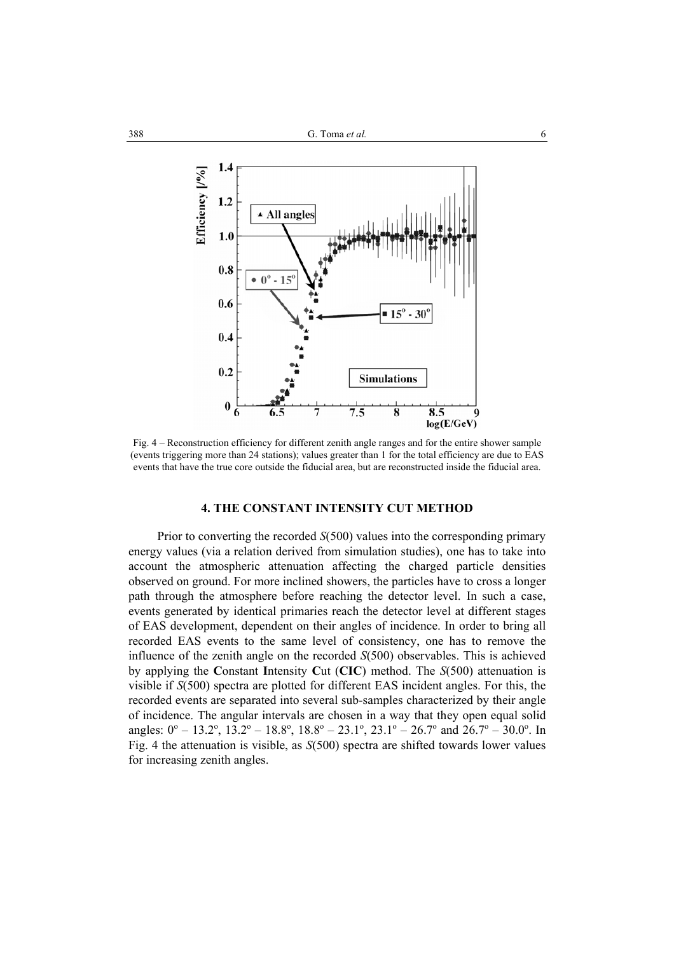

Fig. 4 – Reconstruction efficiency for different zenith angle ranges and for the entire shower sample (events triggering more than 24 stations); values greater than 1 for the total efficiency are due to EAS events that have the true core outside the fiducial area, but are reconstructed inside the fiducial area.

## **4. THE CONSTANT INTENSITY CUT METHOD**

 Prior to converting the recorded *S*(500) values into the corresponding primary energy values (via a relation derived from simulation studies), one has to take into account the atmospheric attenuation affecting the charged particle densities observed on ground. For more inclined showers, the particles have to cross a longer path through the atmosphere before reaching the detector level. In such a case, events generated by identical primaries reach the detector level at different stages of EAS development, dependent on their angles of incidence. In order to bring all recorded EAS events to the same level of consistency, one has to remove the influence of the zenith angle on the recorded *S*(500) observables. This is achieved by applying the **C**onstant **I**ntensity **C**ut (**CIC**) method. The *S*(500) attenuation is visible if *S*(500) spectra are plotted for different EAS incident angles. For this, the recorded events are separated into several sub-samples characterized by their angle of incidence. The angular intervals are chosen in a way that they open equal solid angles:  $0^{\circ}$  – 13.2°, 13.2° – 18.8°, 18.8° – 23.1°, 23.1° – 26.7° and 26.7° – 30.0°. In Fig. 4 the attenuation is visible, as *S*(500) spectra are shifted towards lower values for increasing zenith angles.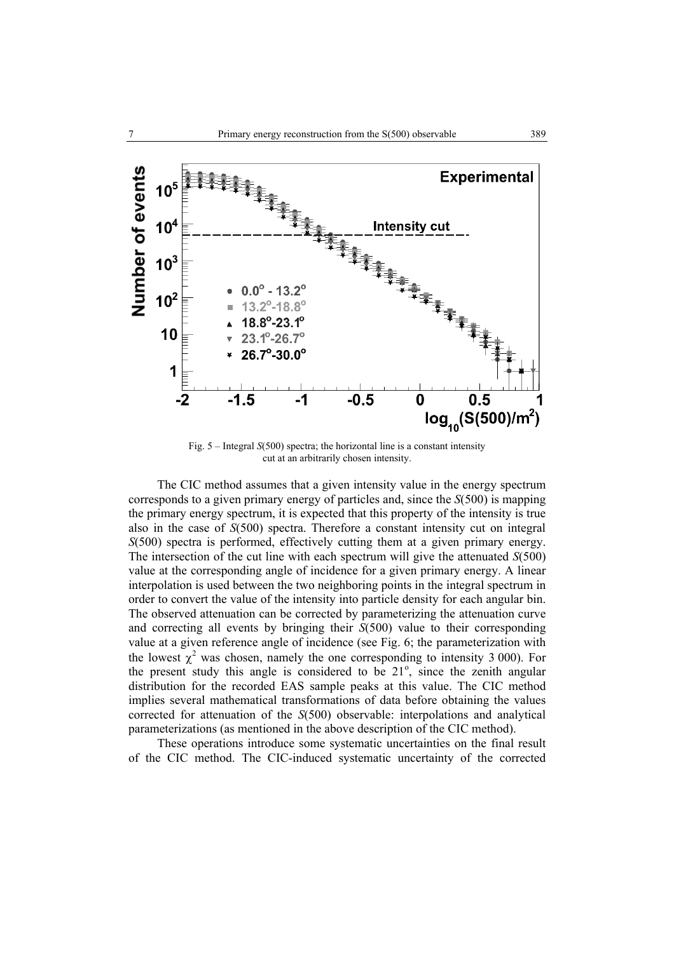

Fig. 5 – Integral *S*(500) spectra; the horizontal line is a constant intensity cut at an arbitrarily chosen intensity.

 The CIC method assumes that a given intensity value in the energy spectrum corresponds to a given primary energy of particles and, since the *S*(500) is mapping the primary energy spectrum, it is expected that this property of the intensity is true also in the case of *S*(500) spectra. Therefore a constant intensity cut on integral *S*(500) spectra is performed, effectively cutting them at a given primary energy. The intersection of the cut line with each spectrum will give the attenuated *S*(500) value at the corresponding angle of incidence for a given primary energy. A linear interpolation is used between the two neighboring points in the integral spectrum in order to convert the value of the intensity into particle density for each angular bin. The observed attenuation can be corrected by parameterizing the attenuation curve and correcting all events by bringing their *S*(500) value to their corresponding value at a given reference angle of incidence (see Fig. 6; the parameterization with the lowest  $\chi^2$  was chosen, namely the one corresponding to intensity 3 000). For the present study this angle is considered to be  $21^\circ$ , since the zenith angular distribution for the recorded EAS sample peaks at this value. The CIC method implies several mathematical transformations of data before obtaining the values corrected for attenuation of the *S*(500) observable: interpolations and analytical parameterizations (as mentioned in the above description of the CIC method).

These operations introduce some systematic uncertainties on the final result of the CIC method. The CIC-induced systematic uncertainty of the corrected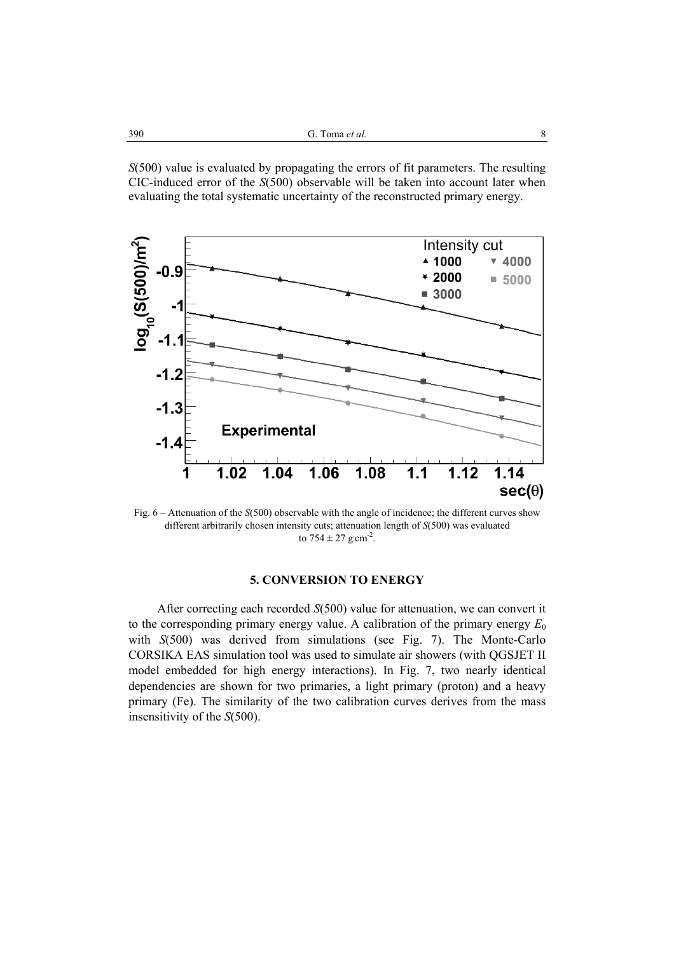*S*(500) value is evaluated by propagating the errors of fit parameters. The resulting CIC-induced error of the *S*(500) observable will be taken into account later when evaluating the total systematic uncertainty of the reconstructed primary energy.



Fig. 6 – Attenuation of the *S*(500) observable with the angle of incidence; the different curves show different arbitrarily chosen intensity cuts; attenuation length of *S*(500) was evaluated to  $754 \pm 27$  g cm<sup>-2</sup>.

# **5. CONVERSION TO ENERGY**

 After correcting each recorded *S*(500) value for attenuation, we can convert it to the corresponding primary energy value. A calibration of the primary energy  $E_0$ with *S*(500) was derived from simulations (see Fig. 7). The Monte-Carlo CORSIKA EAS simulation tool was used to simulate air showers (with QGSJET II model embedded for high energy interactions). In Fig. 7, two nearly identical dependencies are shown for two primaries, a light primary (proton) and a heavy primary (Fe). The similarity of the two calibration curves derives from the mass insensitivity of the *S*(500).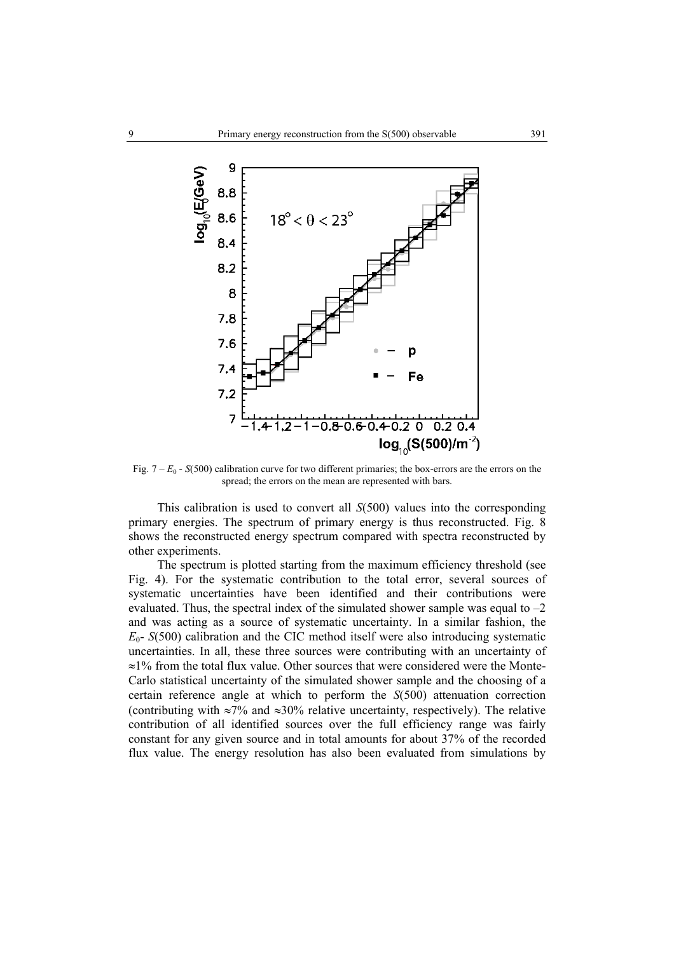

Fig.  $7 - E_0$  - *S*(500) calibration curve for two different primaries; the box-errors are the errors on the spread; the errors on the mean are represented with bars.

 This calibration is used to convert all *S*(500) values into the corresponding primary energies. The spectrum of primary energy is thus reconstructed. Fig. 8 shows the reconstructed energy spectrum compared with spectra reconstructed by other experiments.

The spectrum is plotted starting from the maximum efficiency threshold (see Fig. 4). For the systematic contribution to the total error, several sources of systematic uncertainties have been identified and their contributions were evaluated. Thus, the spectral index of the simulated shower sample was equal to –2 and was acting as a source of systematic uncertainty. In a similar fashion, the  $E_0$ - *S*(500) calibration and the CIC method itself were also introducing systematic uncertainties. In all, these three sources were contributing with an uncertainty of ≈1% from the total flux value. Other sources that were considered were the Monte-Carlo statistical uncertainty of the simulated shower sample and the choosing of a certain reference angle at which to perform the *S*(500) attenuation correction (contributing with ≈7% and ≈30% relative uncertainty, respectively). The relative contribution of all identified sources over the full efficiency range was fairly constant for any given source and in total amounts for about 37% of the recorded flux value. The energy resolution has also been evaluated from simulations by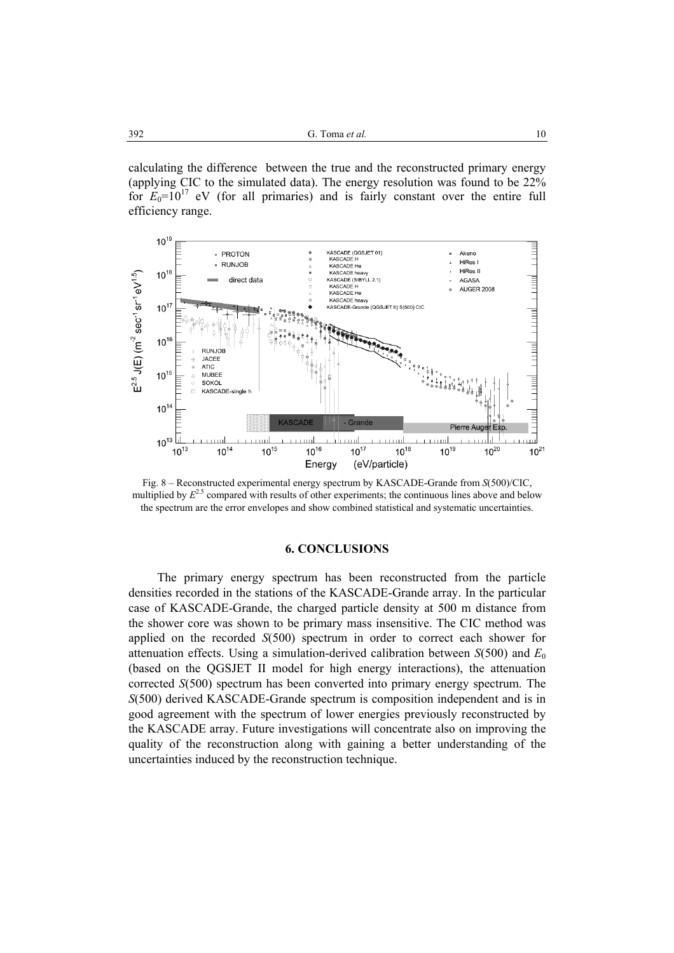calculating the difference between the true and the reconstructed primary energy (applying CIC to the simulated data). The energy resolution was found to be 22% for  $E_0=10^{17}$  eV (for all primaries) and is fairly constant over the entire full efficiency range.



Fig. 8 – Reconstructed experimental energy spectrum by KASCADE-Grande from *S*(500)/CIC, multiplied by  $E^{2.5}$  compared with results of other experiments; the continuous lines above and below the spectrum are the error envelopes and show combined statistical and systematic uncertainties.

### **6. CONCLUSIONS**

 The primary energy spectrum has been reconstructed from the particle densities recorded in the stations of the KASCADE-Grande array. In the particular case of KASCADE-Grande, the charged particle density at 500 m distance from the shower core was shown to be primary mass insensitive. The CIC method was applied on the recorded *S*(500) spectrum in order to correct each shower for attenuation effects. Using a simulation-derived calibration between *S*(500) and *E*<sup>0</sup> (based on the QGSJET II model for high energy interactions), the attenuation corrected *S*(500) spectrum has been converted into primary energy spectrum. The *S*(500) derived KASCADE-Grande spectrum is composition independent and is in good agreement with the spectrum of lower energies previously reconstructed by the KASCADE array. Future investigations will concentrate also on improving the quality of the reconstruction along with gaining a better understanding of the uncertainties induced by the reconstruction technique.